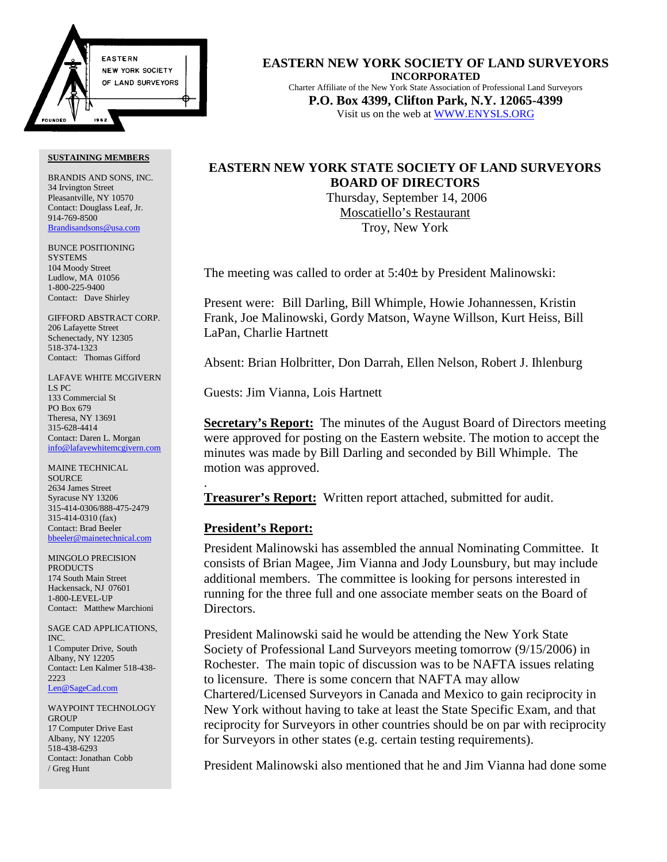

BRANDIS AND SONS, INC. 34 Irvington Street Pleasantville, NY 10570 Contact: Douglass Leaf, Jr. 914-769-8500 Brandisandsons@usa.com

BUNCE POSITIONING **SYSTEMS** 104 Moody Street Ludlow, MA 01056 1-800-225-9400 Contact: Dave Shirley

GIFFORD ABSTRACT CORP. 206 Lafayette Street Schenectady, NY 12305 518-374-1323 Contact: Thomas Gifford

LAFAVE WHITE MCGIVERN LS PC 133 Commercial St PO Box 679 Theresa, NY 13691 315-628-4414 Contact: Daren L. Morgan info@lafavewhitemcgivern.com

MAINE TECHNICAL **SOURCE** 2634 James Street Syracuse NY 13206 315-414-0306/888-475-2479 315-414-0310 (fax) Contact: Brad Beeler bbeeler@mainetechnical.com

MINGOLO PRECISION PRODUCTS 174 South Main Street Hackensack, NJ 07601 1-800-LEVEL-UP Contact: Matthew Marchioni

SAGE CAD APPLICATIONS, INC. 1 Computer Drive, South Albany, NY 12205 Contact: Len Kalmer 518-438- 2223 Len@SageCad.com

WAYPOINT TECHNOLOGY **GROUP** 17 Computer Drive East Albany, NY 12205 518-438-6293 Contact: Jonathan Cobb / Greg Hunt

**EASTERN NEW YORK SOCIETY OF LAND SURVEYORS INCORPORATED** Charter Affiliate of the New York State Association of Professional Land Surveyors **P.O. Box 4399, Clifton Park, N.Y. 12065-4399** Visit us on the web at WWW.ENYSLS.ORG

# **EASTERN NEW YORK STATE SOCIETY OF LAND SURVEYORS BOARD OF DIRECTORS**

 Thursday, September 14, 2006 Moscatiello's Restaurant Troy, New York

The meeting was called to order at 5:40± by President Malinowski:

Present were: Bill Darling, Bill Whimple, Howie Johannessen, Kristin Frank, Joe Malinowski, Gordy Matson, Wayne Willson, Kurt Heiss, Bill LaPan, Charlie Hartnett

Absent: Brian Holbritter, Don Darrah, Ellen Nelson, Robert J. Ihlenburg

Guests: Jim Vianna, Lois Hartnett

**Secretary's Report:** The minutes of the August Board of Directors meeting were approved for posting on the Eastern website. The motion to accept the minutes was made by Bill Darling and seconded by Bill Whimple. The motion was approved.

**Treasurer's Report:** Written report attached, submitted for audit.

# **President's Report:**

.

President Malinowski has assembled the annual Nominating Committee. It consists of Brian Magee, Jim Vianna and Jody Lounsbury, but may include additional members. The committee is looking for persons interested in running for the three full and one associate member seats on the Board of Directors.

President Malinowski said he would be attending the New York State Society of Professional Land Surveyors meeting tomorrow (9/15/2006) in Rochester. The main topic of discussion was to be NAFTA issues relating to licensure. There is some concern that NAFTA may allow Chartered/Licensed Surveyors in Canada and Mexico to gain reciprocity in New York without having to take at least the State Specific Exam, and that reciprocity for Surveyors in other countries should be on par with reciprocity for Surveyors in other states (e.g. certain testing requirements).

President Malinowski also mentioned that he and Jim Vianna had done some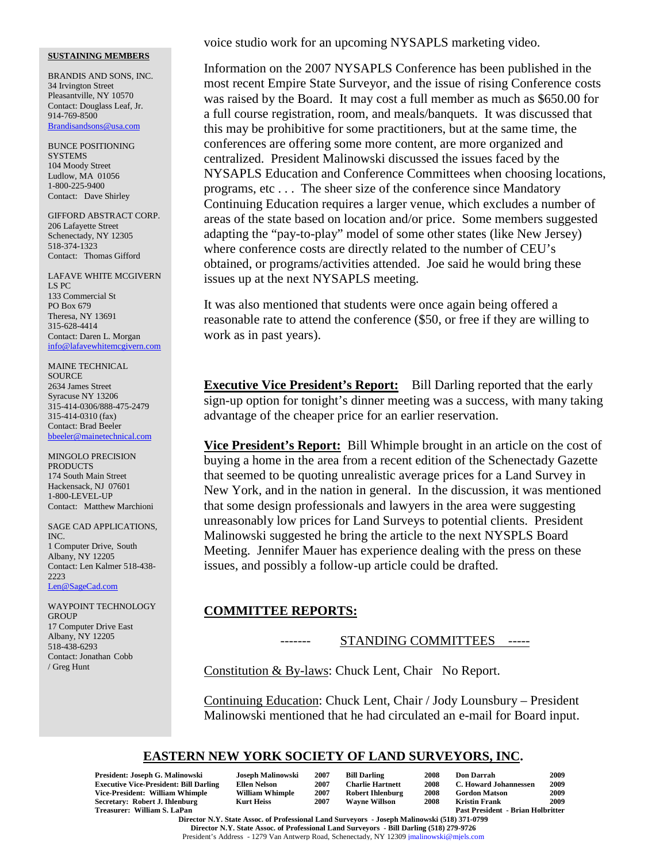BRANDIS AND SONS, INC. 34 Irvington Street Pleasantville, NY 10570 Contact: Douglass Leaf, Jr. 914-769-8500 Brandisandsons@usa.com

BUNCE POSITIONING **SYSTEMS** 104 Moody Street Ludlow, MA 01056 1-800-225-9400 Contact: Dave Shirley

GIFFORD ABSTRACT CORP. 206 Lafayette Street Schenectady, NY 12305 518-374-1323 Contact: Thomas Gifford

LAFAVE WHITE MCGIVERN LS PC 133 Commercial St PO Box 679 Theresa, NY 13691 315-628-4414 Contact: Daren L. Morgan info@lafavewhitemcgivern.com

MAINE TECHNICAL SOURCE 2634 James Street Syracuse NY 13206 315-414-0306/888-475-2479 315-414-0310 (fax) Contact: Brad Beeler bbeeler@mainetechnical.com

MINGOLO PRECISION PRODUCTS 174 South Main Street Hackensack, NJ 07601 1-800-LEVEL-UP Contact: Matthew Marchioni

SAGE CAD APPLICATIONS, INC. 1 Computer Drive, South Albany, NY 12205 Contact: Len Kalmer 518-438- 2223 Len@SageCad.com

WAYPOINT TECHNOLOGY **GROUP** 17 Computer Drive East Albany, NY 12205 518-438-6293 Contact: Jonathan Cobb / Greg Hunt

voice studio work for an upcoming NYSAPLS marketing video.

Information on the 2007 NYSAPLS Conference has been published in the most recent Empire State Surveyor, and the issue of rising Conference costs was raised by the Board. It may cost a full member as much as \$650.00 for a full course registration, room, and meals/banquets. It was discussed that this may be prohibitive for some practitioners, but at the same time, the conferences are offering some more content, are more organized and centralized. President Malinowski discussed the issues faced by the NYSAPLS Education and Conference Committees when choosing locations, programs, etc . . . The sheer size of the conference since Mandatory Continuing Education requires a larger venue, which excludes a number of areas of the state based on location and/or price. Some members suggested adapting the "pay-to-play" model of some other states (like New Jersey) where conference costs are directly related to the number of CEU's obtained, or programs/activities attended. Joe said he would bring these issues up at the next NYSAPLS meeting.

It was also mentioned that students were once again being offered a reasonable rate to attend the conference (\$50, or free if they are willing to work as in past years).

**Executive Vice President's Report:** Bill Darling reported that the early sign-up option for tonight's dinner meeting was a success, with many taking advantage of the cheaper price for an earlier reservation.

**Vice President's Report:** Bill Whimple brought in an article on the cost of buying a home in the area from a recent edition of the Schenectady Gazette that seemed to be quoting unrealistic average prices for a Land Survey in New York, and in the nation in general. In the discussion, it was mentioned that some design professionals and lawyers in the area were suggesting unreasonably low prices for Land Surveys to potential clients. President Malinowski suggested he bring the article to the next NYSPLS Board Meeting. Jennifer Mauer has experience dealing with the press on these issues, and possibly a follow-up article could be drafted.

### **COMMITTEE REPORTS:**

### STANDING COMMITTEES -----

Constitution & By-laws: Chuck Lent, Chair No Report.

Continuing Education: Chuck Lent, Chair / Jody Lounsbury – President Malinowski mentioned that he had circulated an e-mail for Board input.

# **EASTERN NEW YORK SOCIETY OF LAND SURVEYORS, INC.**

| President: Joseph G. Malinowski               | Joseph Malinowski      | 2007 | <b>Bill Darling</b>     | 2008 | Don Darrah                               | 2009 |
|-----------------------------------------------|------------------------|------|-------------------------|------|------------------------------------------|------|
| <b>Executive Vice-President: Bill Darling</b> | Ellen Nelson           | 2007 | <b>Charlie Hartnett</b> | 2008 | C. Howard Johannessen                    | 2009 |
| Vice-President: William Whimple               | <b>William Whimple</b> | 2007 | <b>Robert Ihlenburg</b> | 2008 | <b>Gordon Matson</b>                     | 2009 |
| Secretary: Robert J. Ihlenburg                | Kurt Heiss             | 2007 | <b>Wavne Willson</b>    | 2008 | Kristin Frank                            | 2009 |
| Treasurer: William S. LaPan                   |                        |      |                         |      | <b>Past President - Brian Holbritter</b> |      |
|                                               |                        |      |                         |      |                                          |      |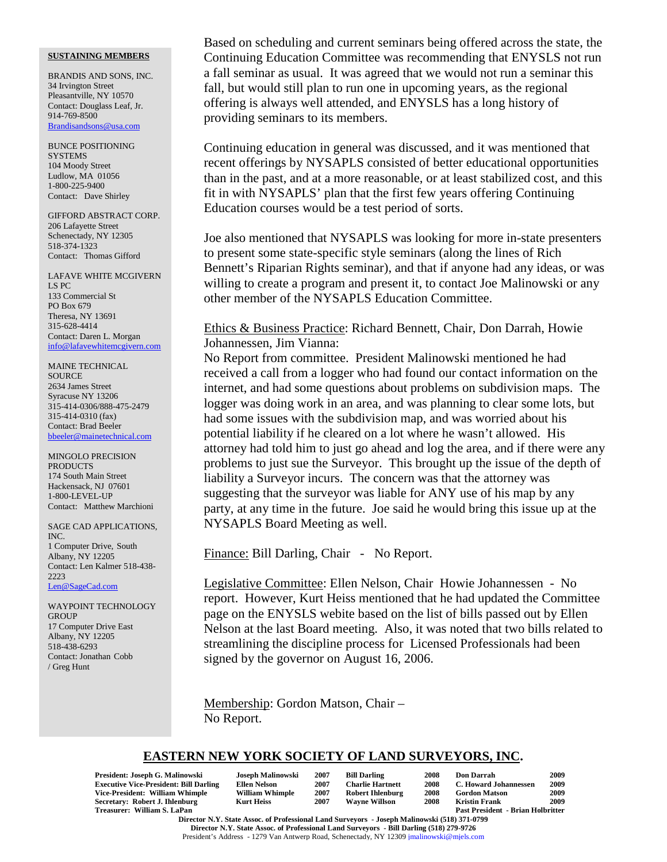BRANDIS AND SONS, INC. 34 Irvington Street Pleasantville, NY 10570 Contact: Douglass Leaf, Jr. 914-769-8500 Brandisandsons@usa.com

BUNCE POSITIONING **SYSTEMS** 104 Moody Street Ludlow, MA 01056 1-800-225-9400 Contact: Dave Shirley

GIFFORD ABSTRACT CORP. 206 Lafayette Street Schenectady, NY 12305 518-374-1323 Contact: Thomas Gifford

LAFAVE WHITE MCGIVERN LS PC 133 Commercial St PO Box 679 Theresa, NY 13691 315-628-4414 Contact: Daren L. Morgan info@lafavewhitemcgivern.com

MAINE TECHNICAL SOURCE 2634 James Street Syracuse NY 13206 315-414-0306/888-475-2479 315-414-0310 (fax) Contact: Brad Beeler bbeeler@mainetechnical.com

MINGOLO PRECISION **PRODUCTS** 174 South Main Street Hackensack, NJ 07601 1-800-LEVEL-UP Contact: Matthew Marchioni

SAGE CAD APPLICATIONS, INC. 1 Computer Drive, South Albany, NY 12205 Contact: Len Kalmer 518-438- 2223 Len@SageCad.com

WAYPOINT TECHNOLOGY **GROUP** 17 Computer Drive East Albany, NY 12205 518-438-6293 Contact: Jonathan Cobb / Greg Hunt

Based on scheduling and current seminars being offered across the state, the Continuing Education Committee was recommending that ENYSLS not run a fall seminar as usual. It was agreed that we would not run a seminar this fall, but would still plan to run one in upcoming years, as the regional offering is always well attended, and ENYSLS has a long history of providing seminars to its members.

Continuing education in general was discussed, and it was mentioned that recent offerings by NYSAPLS consisted of better educational opportunities than in the past, and at a more reasonable, or at least stabilized cost, and this fit in with NYSAPLS' plan that the first few years offering Continuing Education courses would be a test period of sorts.

Joe also mentioned that NYSAPLS was looking for more in-state presenters to present some state-specific style seminars (along the lines of Rich Bennett's Riparian Rights seminar), and that if anyone had any ideas, or was willing to create a program and present it, to contact Joe Malinowski or any other member of the NYSAPLS Education Committee.

# Ethics & Business Practice: Richard Bennett, Chair, Don Darrah, Howie Johannessen, Jim Vianna:

No Report from committee. President Malinowski mentioned he had received a call from a logger who had found our contact information on the internet, and had some questions about problems on subdivision maps. The logger was doing work in an area, and was planning to clear some lots, but had some issues with the subdivision map, and was worried about his potential liability if he cleared on a lot where he wasn't allowed. His attorney had told him to just go ahead and log the area, and if there were any problems to just sue the Surveyor. This brought up the issue of the depth of liability a Surveyor incurs. The concern was that the attorney was suggesting that the surveyor was liable for ANY use of his map by any party, at any time in the future. Joe said he would bring this issue up at the NYSAPLS Board Meeting as well.

Finance: Bill Darling, Chair - No Report.

Legislative Committee: Ellen Nelson, Chair Howie Johannessen - No report. However, Kurt Heiss mentioned that he had updated the Committee page on the ENYSLS webite based on the list of bills passed out by Ellen Nelson at the last Board meeting. Also, it was noted that two bills related to streamlining the discipline process for Licensed Professionals had been signed by the governor on August 16, 2006.

Membership: Gordon Matson, Chair – No Report.

## **EASTERN NEW YORK SOCIETY OF LAND SURVEYORS, INC.**

| Joseph Malinowski      | 2007 | <b>Bill Darling</b>     | 2008 | <b>Don Darrah</b>     | 2009                                     |
|------------------------|------|-------------------------|------|-----------------------|------------------------------------------|
| <b>Ellen Nelson</b>    | 2007 | <b>Charlie Hartnett</b> | 2008 | C. Howard Johannessen | 2009                                     |
| <b>William Whimple</b> | 2007 | <b>Robert Ihlenburg</b> | 2008 | <b>Gordon Matson</b>  | 2009                                     |
| <b>Kurt Heiss</b>      | 2007 | <b>Wavne Willson</b>    | 2008 | <b>Kristin Frank</b>  | 2009                                     |
|                        |      |                         |      |                       |                                          |
|                        |      |                         |      |                       | <b>Past President - Brian Holbritter</b> |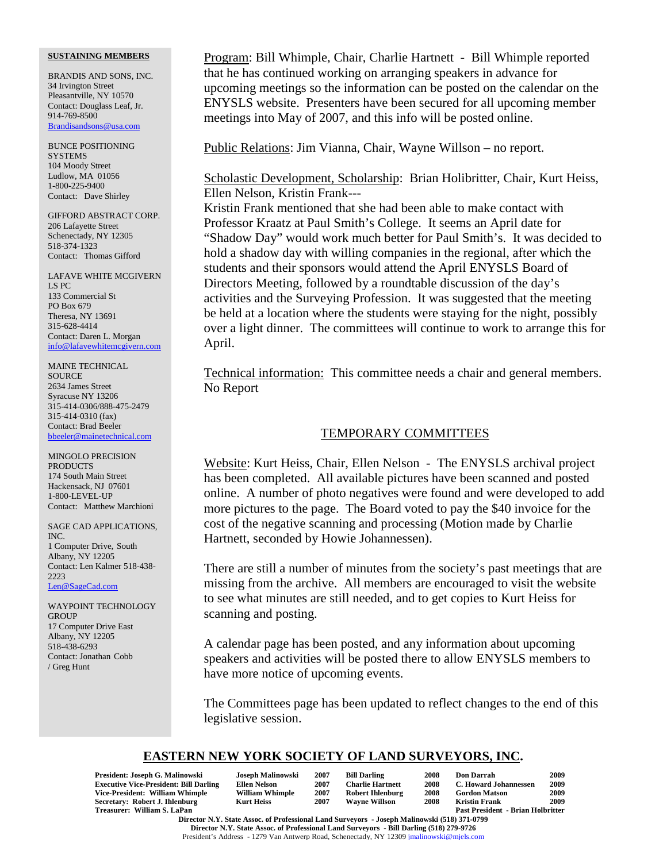BRANDIS AND SONS, INC. 34 Irvington Street Pleasantville, NY 10570 Contact: Douglass Leaf, Jr. 914-769-8500 Brandisandsons@usa.com

BUNCE POSITIONING **SYSTEMS** 104 Moody Street Ludlow, MA 01056 1-800-225-9400 Contact: Dave Shirley

GIFFORD ABSTRACT CORP. 206 Lafayette Street Schenectady, NY 12305 518-374-1323 Contact: Thomas Gifford

LAFAVE WHITE MCGIVERN LS PC 133 Commercial St PO Box 679 Theresa, NY 13691 315-628-4414 Contact: Daren L. Morgan info@lafavewhitemcgivern.com

MAINE TECHNICAL SOURCE 2634 James Street Syracuse NY 13206 315-414-0306/888-475-2479 315-414-0310 (fax) Contact: Brad Beeler bbeeler@mainetechnical.com

MINGOLO PRECISION **PRODUCTS** 174 South Main Street Hackensack, NJ 07601 1-800-LEVEL-UP Contact: Matthew Marchioni

SAGE CAD APPLICATIONS, INC. 1 Computer Drive, South Albany, NY 12205 Contact: Len Kalmer 518-438- 2223 Len@SageCad.com

WAYPOINT TECHNOLOGY **GROUP** 17 Computer Drive East Albany, NY 12205 518-438-6293 Contact: Jonathan Cobb / Greg Hunt

Program: Bill Whimple, Chair, Charlie Hartnett - Bill Whimple reported that he has continued working on arranging speakers in advance for upcoming meetings so the information can be posted on the calendar on the ENYSLS website. Presenters have been secured for all upcoming member meetings into May of 2007, and this info will be posted online.

Public Relations: Jim Vianna, Chair, Wayne Willson – no report.

Scholastic Development, Scholarship: Brian Holibritter, Chair, Kurt Heiss, Ellen Nelson, Kristin Frank---

Kristin Frank mentioned that she had been able to make contact with Professor Kraatz at Paul Smith's College. It seems an April date for "Shadow Day" would work much better for Paul Smith's. It was decided to hold a shadow day with willing companies in the regional, after which the students and their sponsors would attend the April ENYSLS Board of Directors Meeting, followed by a roundtable discussion of the day's activities and the Surveying Profession. It was suggested that the meeting be held at a location where the students were staying for the night, possibly over a light dinner. The committees will continue to work to arrange this for April.

Technical information: This committee needs a chair and general members. No Report

# TEMPORARY COMMITTEES

Website: Kurt Heiss, Chair, Ellen Nelson - The ENYSLS archival project has been completed. All available pictures have been scanned and posted online. A number of photo negatives were found and were developed to add more pictures to the page. The Board voted to pay the \$40 invoice for the cost of the negative scanning and processing (Motion made by Charlie Hartnett, seconded by Howie Johannessen).

There are still a number of minutes from the society's past meetings that are missing from the archive. All members are encouraged to visit the website to see what minutes are still needed, and to get copies to Kurt Heiss for scanning and posting.

A calendar page has been posted, and any information about upcoming speakers and activities will be posted there to allow ENYSLS members to have more notice of upcoming events.

The Committees page has been updated to reflect changes to the end of this legislative session.

## **EASTERN NEW YORK SOCIETY OF LAND SURVEYORS, INC.**

| President: Joseph G. Malinowski                                                              | Joseph Malinowski      | 2007 | <b>Bill Darling</b>     | 2008 | <b>Don Darrah</b>                        | 2009 |  |
|----------------------------------------------------------------------------------------------|------------------------|------|-------------------------|------|------------------------------------------|------|--|
| <b>Executive Vice-President: Bill Darling</b>                                                | Ellen Nelson           | 2007 | <b>Charlie Hartnett</b> | 2008 | C. Howard Johannessen                    | 2009 |  |
| Vice-President: William Whimple                                                              | <b>William Whimple</b> | 2007 | <b>Robert Ihlenburg</b> | 2008 | <b>Gordon Matson</b>                     | 2009 |  |
| Secretary: Robert J. Ihlenburg                                                               | Kurt Heiss             | 2007 | <b>Wavne Willson</b>    | 2008 | <b>Kristin Frank</b>                     | 2009 |  |
| Treasurer: William S. LaPan                                                                  |                        |      |                         |      | <b>Past President - Brian Holbritter</b> |      |  |
| Dinastin M. M. Ctris, Alana, of Durfand Land, Common and Transl. M. Burnsell (510) 251-0500. |                        |      |                         |      |                                          |      |  |